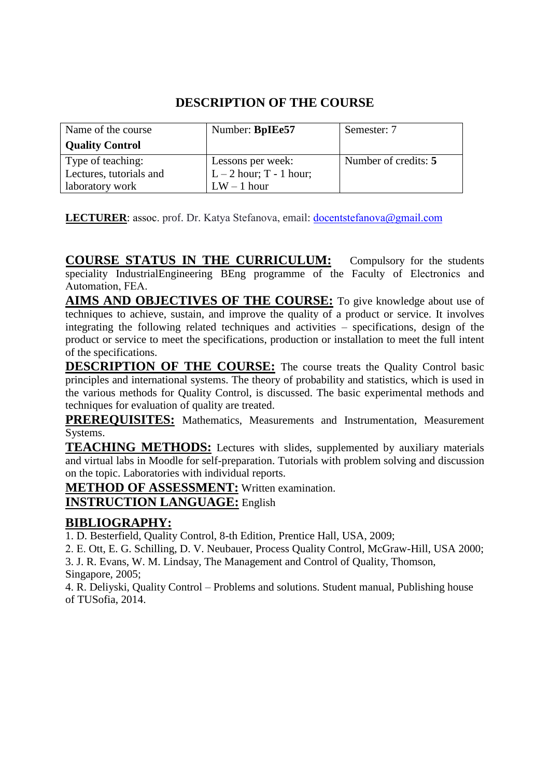| Name of the course      | Number: BpIEe57         | Semester: 7          |
|-------------------------|-------------------------|----------------------|
| <b>Quality Control</b>  |                         |                      |
| Type of teaching:       | Lessons per week:       | Number of credits: 5 |
| Lectures, tutorials and | $L-2$ hour; T - 1 hour; |                      |
| laboratory work         | $LW - 1$ hour           |                      |

**LECTURER**: assoc. prof. Dr. Katya Stefanova, email: [docentste](mailto:t_tashev@tu-sofia.bg)fanova@gmail.com

**COURSE STATUS IN THE CURRICULUM:** Compulsory for the students speciality IndustrialEngineering BEng programme of the Faculty of Electronics and Automation, FEA.

**AIMS AND OBJECTIVES OF THE COURSE:** To give knowledge about use of techniques to achieve, sustain, and improve the quality of a product or service. It involves integrating the following related techniques and activities – specifications, design of the product or service to meet the specifications, production or installation to meet the full intent of the specifications.

**DESCRIPTION OF THE COURSE:** The course treats the Quality Control basic principles and international systems. The theory of probability and statistics, which is used in the various methods for Quality Control, is discussed. The basic experimental methods and techniques for evaluation of quality are treated.

**PREREQUISITES:** Mathematics, Measurements and Instrumentation, Measurement Systems.

**TEACHING METHODS:** Lectures with slides, supplemented by auxiliary materials and virtual labs in Moodle for self-preparation. Tutorials with problem solving and discussion on the topic. Laboratories with individual reports.

**METHOD OF ASSESSMENT:** Written examination.

# **INSTRUCTION LANGUAGE:** English

# **BIBLIOGRAPHY:**

1. D. Besterfield, Quality Control, 8-th Edition, Prentice Hall, USA, 2009;

2. Е. Ott, E. G. Schilling, D. V. Neubauer, Process Quality Control, McGraw-Hill, USA 2000;

3. J. R. Evans, W. M. Lindsay, The Management and Control of Quality, Thomson, Singapore, 2005;

4. R. Deliyski, Quality Control – Problems and solutions. Student manual, Publishing house of TUSofia, 2014.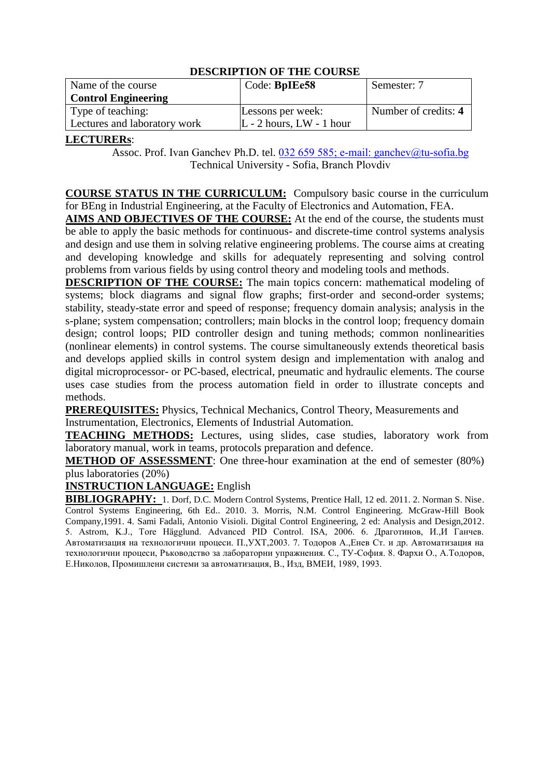| Name of the course           | Code: BpIEe58                 | Semester: 7          |
|------------------------------|-------------------------------|----------------------|
| <b>Control Engineering</b>   |                               |                      |
| Type of teaching:            | Lessons per week:             | Number of credits: 4 |
| Lectures and laboratory work | $ L - 2$ hours, $LW - 1$ hour |                      |

### **LECTURERs**:

Assoc. Prof. Ivan Ganchev Ph.D. tel. 032 659 585; e-mail[: ganchev@tu-sofia](mailto:enev@tu-sofia.bg).bg Technical University - Sofia, Branch Pl[ovdiv](mailto:assent@tu-sofia.bg)

**COURSE STATUS IN THE CURRICULUM:** Compulsory basic course in the curriculum for BEng in Industrial Engineering, at the Faculty of Electronics and Automation, FEA.

**AIMS AND OBJECTIVES OF THE COURSE:** At the end of the course, the students must be able to apply the basic methods for continuous- and discrete-time control systems analysis and design and use them in solving relative engineering problems. The course aims at creating and developing knowledge and skills for adequately representing and solving control problems from various fields by using control theory and modeling tools and methods.

**DESCRIPTION OF THE COURSE:** The main topics concern: mathematical modeling of systems; block diagrams and signal flow graphs; first-order and second-order systems; stability, steady-state error and speed of response; frequency domain analysis; analysis in the s-plane; system compensation; controllers; main blocks in the control loop; frequency domain design; control loops; PID controller design and tuning methods; common nonlinearities (nonlinear elements) in control systems. The course simultaneously extends theoretical basis and develops applied skills in control system design and implementation with analog and digital microprocessor- or PC-based, electrical, pneumatic and hydraulic elements. The course uses case studies from the process automation field in order to illustrate concepts and methods.

**PREREQUISITES:** Physics, Technical Mechanics, Control Theory, Measurements and Instrumentation, Electronics, Elements of Industrial Automation.

**TEACHING METHODS:** Lectures, using slides, case studies, laboratory work from laboratory manual, work in teams, protocols preparation and defence.

**METHOD OF ASSESSMENT**: One three-hour examination at the end of semester (80%) plus laboratories (20%)

**INSTRUCTION LANGUAGE:** English

**BIBLIOGRAPHY:** 1. Dorf, D.C. Modern Control Systems, Prentice Hall, 12 ed. 2011. 2. Norman S. Nise. Control Systems Engineering, 6th Ed.. 2010. 3. Morris, N.M. Control Engineering. McGraw-Hill Book Company,1991. 4. Sami Fadali, Antonio Visioli. Digital Control Engineering, 2 ed: Analysis and Design,2012. 5. Astrom, K.J., Tore Hägglund. Advanced PID Control. ISA, 2006. 6. Драготинов, И.,И Ганчев. Автоматизация на технологични процеси. П.,УХТ,2003. 7. Тодоров А.,Енев Ст. и др. Автоматизация на технологични процеси, Ръководство за лабораторни упражнения. С., ТУ-София. 8. Фархи О., А.Тодоров, Е.Николов, Промишлени системи за автоматизация, В., Изд, ВМЕИ, 1989, 1993.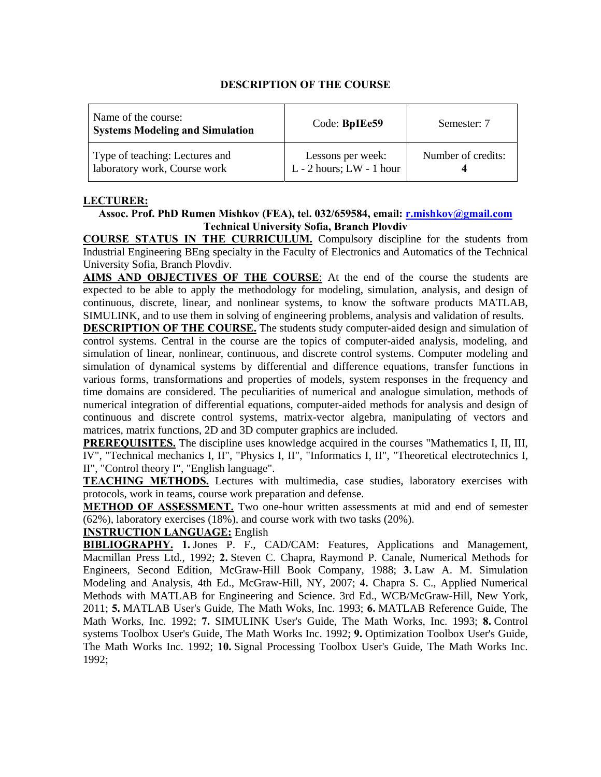| Name of the course:<br><b>Systems Modeling and Simulation</b>  | Code: BpIEe59                                     | Semester: 7        |
|----------------------------------------------------------------|---------------------------------------------------|--------------------|
| Type of teaching: Lectures and<br>laboratory work, Course work | Lessons per week:<br>$L - 2$ hours; $LW - 1$ hour | Number of credits: |

#### **LECTURER:**

#### **Assoc. Prof. PhD Rumen Mishkov (FEA), tel. 032/659584, еmail: r.mishkov@gmail.com Technical University Sofia, Branch Plovdiv**

**COURSE STATUS IN THE CURRICULUM.** Compulsory discipline for the students from Industrial Engineering BEng specialty in the Faculty of Electronics and Automatics of the Technical University Sofia, Branch Plovdiv.

**AIMS AND OBJECTIVES OF THE COURSE**: At the end of the course the students are expected to be able to apply the methodology for modeling, simulation, analysis, and design of continuous, discrete, linear, and nonlinear systems, to know the software products MATLAB, SIMULINK, and to use them in solving of engineering problems, analysis and validation of results.

**DESCRIPTION OF THE COURSE.** The students study computer-aided design and simulation of control systems. Central in the course are the topics of computer-aided analysis, modeling, and simulation of linear, nonlinear, continuous, and discrete control systems. Computer modeling and simulation of dynamical systems by differential and difference equations, transfer functions in various forms, transformations and properties of models, system responses in the frequency and time domains are considered. The peculiarities of numerical and analogue simulation, methods of numerical integration of differential equations, computer-aided methods for analysis and design of continuous and discrete control systems, matrix-vector algebra, manipulating of vectors and matrices, matrix functions, 2D and 3D computer graphics are included.

**PREREQUISITES.** The discipline uses knowledge acquired in the courses "Mathematics I, II, III, IV", "Technical mechanics I, II", "Physics I, II", "Informatics I, II", "Theoretical electrotechnics I, II", "Control theory I", "English language".

**TEACHING METHODS.** Lectures with multimedia, case studies, laboratory exercises with protocols, work in teams, course work preparation and defense.

**METHOD OF ASSESSMENT.** Two one-hour written assessments at mid and end of semester (62%), laboratory exercises (18%), and course work with two tasks (20%).

### **INSTRUCTION LANGUAGE:** English

**BIBLIOGRAPHY. 1.** Jones P. F., CAD/CAM: Features, Applications and Management, Macmillan Press Ltd., 1992; **2.** Steven C. Chapra, Raymond P. Canale, Numerical Methods for Engineers, Second Edition, McGraw-Hill Book Company, 1988; **3.** Law A. M. Simulation Modeling and Analysis, 4th Ed., McGraw-Hill, NY, 2007; **4.** Chapra S. C., Applied Numerical Methods with MATLAB for Engineering and Science. 3rd Ed., WCB/McGraw-Hill, New York, 2011; **5.** MATLAB User's Guide, The Math Woks, Inc. 1993; **6.** MATLAB Reference Guide, The Math Works, Inc. 1992; **7.** SIMULINK User's Guide, The Math Works, Inc. 1993; **8.** Control systems Toolbox User's Guide, The Math Works Inc. 1992; **9.** Optimization Toolbox User's Guide, The Math Works Inc. 1992; **10.** Signal Processing Toolbox User's Guide, The Math Works Inc. 1992;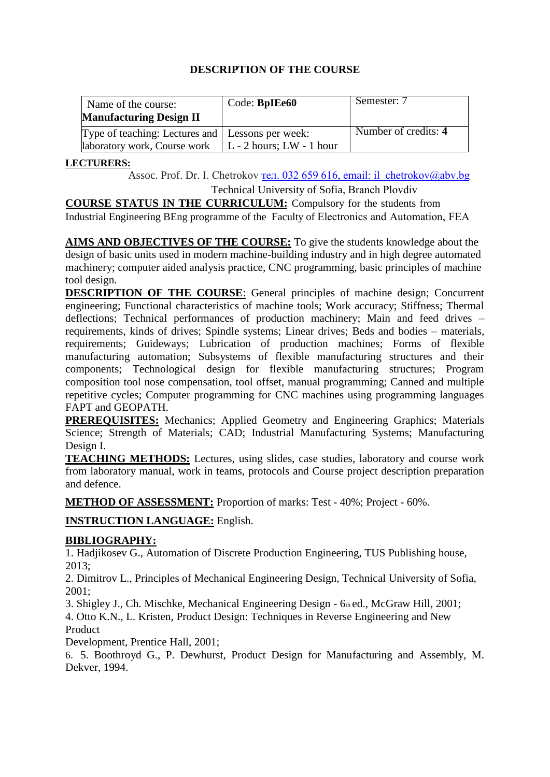| Name of the course:                                | Code: BpIEe60                    | Semester: 7          |
|----------------------------------------------------|----------------------------------|----------------------|
| <b>Manufacturing Design II</b>                     |                                  |                      |
| Type of teaching: Lectures and   Lessons per week: |                                  | Number of credits: 4 |
| laboratory work, Course work                       | $\vert$ L - 2 hours; LW - 1 hour |                      |

### **LECTURERS:**

Assoc. Prof. Dr. I. Chetrokov тел. 032 6[59 616, email: il\\_che](mailto:alextz@tu-sofia.bg)trokov@abv.bg

Technical University of Sofia, Branch Plovdiv

**COURSE STATUS IN THE CURRICULUM:** Compulsory for the students from Industrial Engineering BEng programme of the Faculty of Electronics and Automation, FEA

**AIMS AND OBJECTIVES OF THE COURSE:** To give the students knowledge about the design of basic units used in modern machine-building industry and in high degree automated machinery; computer aided analysis practice, CNC programming, basic principles of machine tool design.

**DESCRIPTION OF THE COURSE**: General principles of machine design; Concurrent engineering; Functional characteristics of machine tools; Work accuracy; Stiffness; Thermal deflections; Technical performances of production machinery; Main and feed drives – requirements, kinds of drives; Spindle systems; Linear drives; Beds and bodies – materials, requirements; Guideways; Lubrication of production machines; Forms of flexible manufacturing automation; Subsystems of flexible manufacturing structures and their components; Technological design for flexible manufacturing structures; Program composition tool nose compensation, tool offset, manual programming; Canned and multiple repetitive cycles; Computer programming for CNC machines using programming languages FAPT and GEOPATH.

**PREREQUISITES:** Mechanics; Applied Geometry and Engineering Graphics; Materials Science; Strength of Materials; CAD; Industrial Manufacturing Systems; Manufacturing Design I.

**TEACHING METHODS:** Lectures, using slides, case studies, laboratory and course work from laboratory manual, work in teams, protocols and Course project description preparation and defence.

**METHOD OF ASSESSMENT:** Proportion of marks: Test - 40%; Project - 60%.

**INSTRUCTION LANGUAGE:** English.

# **BIBLIOGRAPHY:**

1. Hadjikosev G., Automation of Discrete Production Engineering, TUS Publishing house, 2013;

2. Dimitrov L., Principles of Mechanical Engineering Design, Technical University of Sofia, 2001;

3. Shigley J., Ch. Mischke, Mechanical Engineering Design - 6th ed., McGraw Hill, 2001; 4. Otto K.N., L. Kristen, Product Design: Techniques in Reverse Engineering and New Product

Development, Prentice Hall, 2001;

6. 5. Boothroyd G., P. Dewhurst, Product Design for Manufacturing and Assembly, M. Dekver, 1994.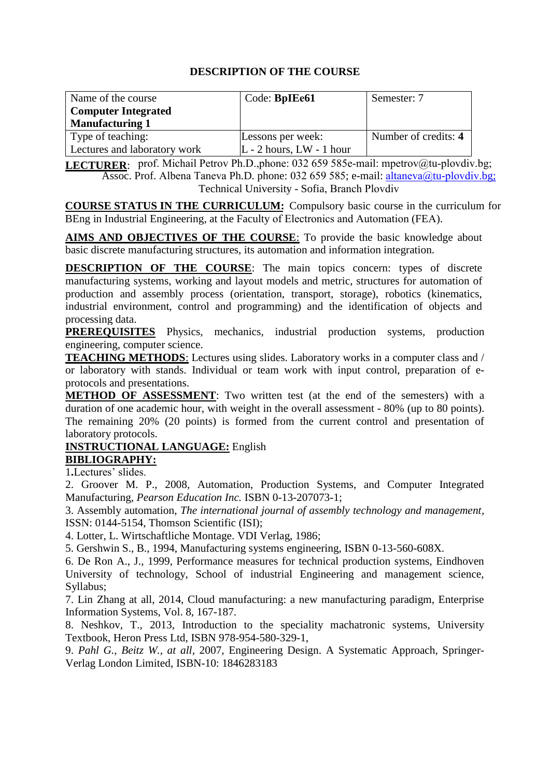| Name of the course           | Code: BpIEe61                 | Semester: 7          |
|------------------------------|-------------------------------|----------------------|
| <b>Computer Integrated</b>   |                               |                      |
| <b>Manufacturing 1</b>       |                               |                      |
| Type of teaching:            | Lessons per week:             | Number of credits: 4 |
| Lectures and laboratory work | $ L - 2$ hours, $LW - 1$ hour |                      |

LECTURER: prof. Michail Petrov Ph.D.,phone: 032 659 585e-mail: mpetrov@tu-plovdiv.bg; Assoc. Prof. Albena Taneva Ph.D. phone: 032 659 585; e-mail: [altaneva@](mailto:d_dotsev@tu-sofia.bg)tu-plovdiv.bg; Technical University - Sofia, Branch Plovdiv

**COURSE STATUS IN THE CURRICULUM:** Compulsory basic course in the curriculum for BEng in Industrial Engineering, at the Faculty of Electronics and Automation (FEА).

**AIMS AND OBJECTIVES OF THE COURSE**: To provide the basic knowledge about basic discrete manufacturing structures, its automation and information integration.

**DESCRIPTION OF THE COURSE**: The main topics concern: types of discrete manufacturing systems, working and layout models and metric, structures for automation of production and assembly process (orientation, transport, storage), robotics (kinematics, industrial environment, control and programming) and the identification of objects and processing data.

**PREREQUISITES** Physics, mechanics, industrial production systems, production engineering, computer science.

**TEACHING METHODS**: Lectures using slides. Laboratory works in a computer class and / or laboratory with stands. Individual or team work with input control, preparation of eprotocols and presentations.

**METHOD OF ASSESSMENT**: Two written test (at the end of the semesters) with a duration of one academic hour, with weight in the overall assessment - 80% (up to 80 points). The remaining 20% (20 points) is formed from the current control and presentation of laboratory protocols.

# **INSTRUCTIONAL LANGUAGE:** English

**BIBLIOGRAPHY:** 

1**.**Lectures' slides.

2. Groover M. P., 2008, Automation, Production Systems, and Computer Integrated Manufacturing, *Pearson Education Inc.* ISBN 0-13-207073-1;

3. Assembly automation, *The international journal of assembly technology and management*, ISSN: 0144-5154, Thomson Scientific (ISI);

4. Lotter, L. Wirtschaftliche Montage. VDI Verlag, 1986;

5. Gershwin S., B., 1994, Manufacturing systems engineering, ISBN 0-13-560-608X.

6. De Ron A., J., 1999, Performance measures for technical production systems, Eindhoven University of technology, School of industrial Engineering and management science, Syllabus;

7. Lin Zhang at all, 2014, Cloud manufacturing: a new manufacturing paradigm, Enterprise Information Systems, Vol. 8, 167-187.

8. Neshkov, T., 2013, Introduction to the speciality machatronic systems, University Textbook, Heron Press Ltd, ISBN 978-954-580-329-1,

9. *Pahl G., Beitz W., at all,* 2007, Engineering Design. A Systematic Approach, Springer-Verlag London Limited, ISBN-10: 1846283183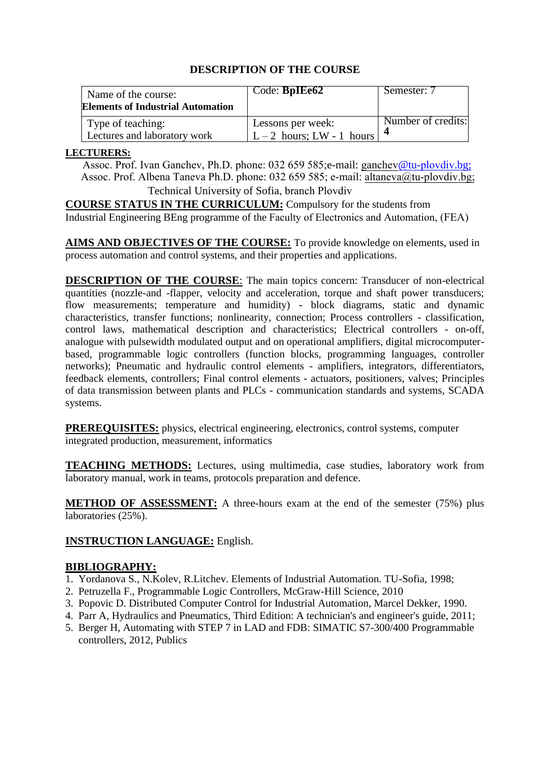| Name of the course:<br><b>Elements of Industrial Automation</b> | Code: <b>BpIEe62</b>                           | Semester: 7        |
|-----------------------------------------------------------------|------------------------------------------------|--------------------|
| Type of teaching:<br>Lectures and laboratory work               | Lessons per week:<br>$L-2$ hours; LW - 1 hours | Number of credits: |

#### **LECTURERS:**

Assoc. Prof. Ivan Ganchev, Ph.D. phone: 032 659 585;e-mail: [ganchev](mailto:sty@tu-sofia.bg)@tu-plovdiv.bg; Assoc. Prof. Albena Taneva Ph.D. phone: 032 659 585; e-mail[: altaneva@tu-plovdiv.bg;](mailto:georgievmg@tu-sofia.bg) Technical University of Sofia, branch Plovdiv

**COURSE STATUS IN THE CURRICULUM:** Compulsory for the students from Industrial Engineering BEng programme of the Faculty of Electronics and Automation, (FЕА)

**AIMS AND OBJECTIVES OF THE COURSE:** To provide knowledge on elements, used in process automation and control systems, and their properties and applications.

**DESCRIPTION OF THE COURSE:** The main topics concern: Transducer of non-electrical quantities (nozzle-and -flapper, velocity and acceleration, torque and shaft power transducers; flow measurements; temperature and humidity) - block diagrams, static and dynamic characteristics, transfer functions; nonlinearity, connection; Process controllers - classification, control laws, mathematical description and characteristics; Electrical controllers - on-off, analogue with pulsewidth modulated output and on operational amplifiers, digital microcomputerbased, programmable logic controllers (function blocks, programming languages, controller networks); Pneumatic and hydraulic control elements - amplifiers, integrators, differentiators, feedback elements, controllers; Final control elements - actuators, positioners, valves; Principles of data transmission between plants and PLCs - communication standards and systems, SCADA systems.

**PREREQUISITES:** physics, electrical engineering, electronics, control systems, computer integrated production, measurement, informatics

**TEACHING METHODS:** Lectures, using multimedia, case studies, laboratory work from laboratory manual, work in teams, protocols preparation and defence.

**METHOD OF ASSESSMENT:** A three-hours exam at the end of the semester (75%) plus laboratories (25%).

#### **INSTRUCTION LANGUAGE:** English.

#### **BIBLIOGRAPHY:**

- 1. Yordanova S., N.Kolev, R.Litchev. Elements of Industrial Automation. TU-Sofia, 1998;
- 2. Petruzella F., Programmable Logic Controllers, McGraw-Hill Science, 2010
- 3. Popovic D. Distributed Computer Control for Industrial Automation, Marcel Dekker, 1990.
- 4. Parr A, Hydraulics and Pneumatics, Third Edition: A technician's and engineer's guide, 2011;
- 5. Berger H, Automating with STEP 7 in LAD and FDB: SIMATIC S7-300/400 Programmable controllers, 2012, Publics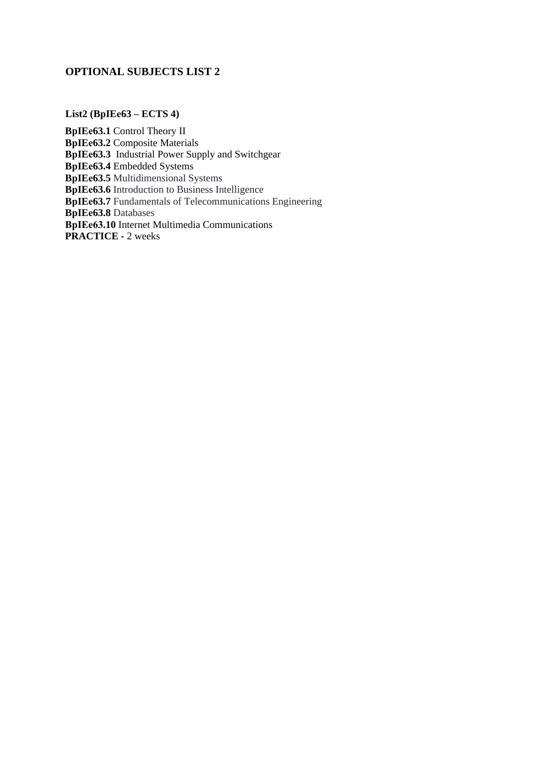# **OPTIONAL SUBJECTS LIST 2**

#### **List2 (BpIEе63 – ECTS 4)**

**BpIEе63.1** Control Theory II **BpIEе63.2** Composite Materials **BpIEe63.3** Industrial Power Supply and Switchgear **BpIEе63.4** Embedded Systems **BpIEе63.5** Multidimensional Systems **BpIEe63.6** Introduction to Business Intelligence **BpIEe63.7** Fundamentals of Telecommunications Engineering **BpIEе63.8** Databases **BpIEе63.10** Internet Multimedia Communications **PRACTICE -** 2 weeks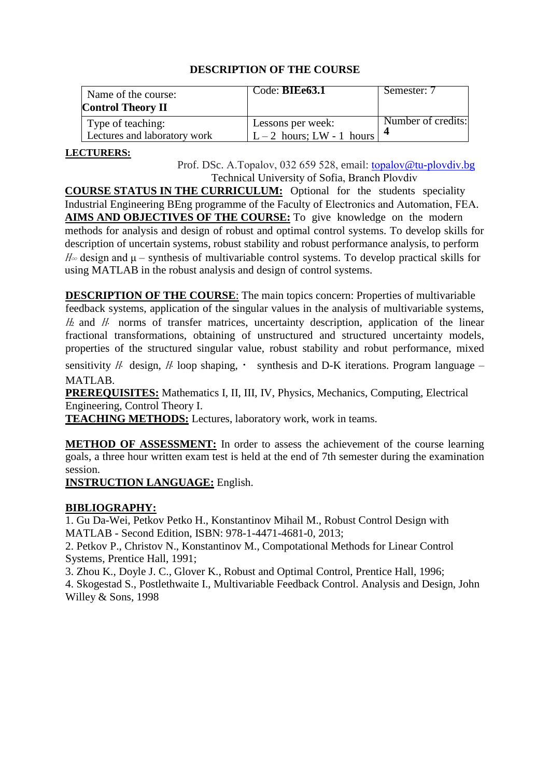| Name of the course:<br><b>Control Theory II</b>   | Code: BIEe63.1                                 | Semester: 7        |
|---------------------------------------------------|------------------------------------------------|--------------------|
| Type of teaching:<br>Lectures and laboratory work | Lessons per week:<br>$L-2$ hours; LW - 1 hours | Number of credits: |

#### **LECTURERS:**

Prof. DSc. A.Topalov, 032 [659 528,](mailto:php@tu-sofia.bg) email: topalov@tu-plovdiv.bg Technical University of Sofia, Branch Plovdiv

**COURSE STATUS IN THE CURRICULUM:** Optional for the students speciality Industrial Engineering BEng programme of the Faculty of Electronics and Automation, FEA. **AIMS AND OBJECTIVES OF THE COURSE:** To give knowledge on the modern methods for analysis and design of robust and optimal control systems. To develop skills for description of uncertain systems, robust stability and robust performance analysis, to perform  $H_{\infty}$  design and  $\mu$  – synthesis of multivariable control systems. To develop practical skills for using MATLAB in the robust analysis and design of control systems.

**DESCRIPTION OF THE COURSE:** The main topics concern: Properties of multivariable feedback systems, application of the singular values in the analysis of multivariable systems,  $H_2$  and  $H_3$  norms of transfer matrices, uncertainty description, application of the linear fractional transformations, obtaining of unstructured and structured uncertainty models, properties of the structured singular value, robust stability and robut performance, mixed

sensitivity H design, H loop shaping,  $\cdot$  synthesis and D-K iterations. Program language – MATLAB.

**PREREQUISITES:** Mathematics I, II, III, IV, Physics, Mechanics, Computing, Electrical Engineering, Control Theory I.

**TEACHING METHODS:** Lectures, laboratory work, work in teams.

**METHOD OF ASSESSMENT:** In order to assess the achievement of the course learning goals, a three hour written exam test is held at the end of 7th semester during the examination session.

**INSTRUCTION LANGUAGE:** English.

# **BIBLIOGRAPHY:**

1. Gu Da-Wei, Petkov Petko H., Konstantinov Mihail M., Robust Control Design with MATLAB - Second Edition, ISBN: 978-1-4471-4681-0, 2013;

2. Petkov P., Christov N., Konstantinov M., Compotational Methods for Linear Control Systems, Prentice Hall, 1991;

3. Zhou K., Doyle J. C., Glover K., Robust and Optimal Control, Prentice Hall, 1996;

4. Skogestad S., Postlethwaite I., Multivariable Feedback Control. Analysis and Design, John Willey & Sons, 1998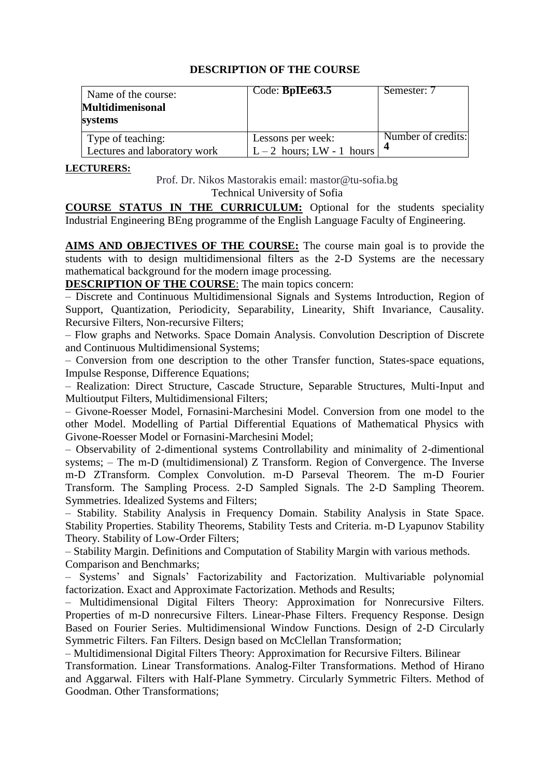| Name of the course:<br><b>Multidimenisonal</b><br>systems | Code: BpIEe63.5                                | Semester: 7        |
|-----------------------------------------------------------|------------------------------------------------|--------------------|
| Type of teaching:<br>Lectures and laboratory work         | Lessons per week:<br>$L-2$ hours; LW - 1 hours | Number of credits: |

#### **LECTURERS:**

Prof. Dr. Nikos Mastorakis email: mastor@tu-sofia.bg Technical University of Sofia

**COURSE STATUS IN THE CURRICULUM:** Optional for the students speciality Industrial Engineering BEng programme of the English Language Faculty of Engineering.

**AIMS AND OBJECTIVES OF THE COURSE:** The course main goal is to provide the students with to design multidimensional filters as the 2-D Systems are the necessary mathematical background for the modern image processing.

**DESCRIPTION OF THE COURSE**: The main topics concern:

– Discrete and Continuous Multidimensional Signals and Systems Introduction, Region of Support, Quantization, Periodicity, Separability, Linearity, Shift Invariance, Causality. Recursive Filters, Non-recursive Filters;

– Flow graphs and Networks. Space Domain Analysis. Convolution Description of Discrete and Continuous Multidimensional Systems;

– Conversion from one description to the other Transfer function, States-space equations, Impulse Response, Difference Equations;

– Realization: Direct Structure, Cascade Structure, Separable Structures, Multi-Input and Multioutput Filters, Multidimensional Filters;

– Givone-Roesser Model, Fornasini-Marchesini Model. Conversion from one model to the other Model. Modelling of Partial Differential Equations of Mathematical Physics with Givone-Roesser Model or Fornasini-Marchesini Model;

– Observability of 2-dimentional systems Controllability and minimality of 2-dimentional systems; – The m-D (multidimensional) Z Transform. Region of Convergence. The Inverse m-D ZTransform. Complex Convolution. m-D Parseval Theorem. The m-D Fourier Transform. The Sampling Process. 2-D Sampled Signals. The 2-D Sampling Theorem. Symmetries. Idealized Systems and Filters;

– Stability. Stability Analysis in Frequency Domain. Stability Analysis in State Space. Stability Properties. Stability Theorems, Stability Tests and Criteria. m-D Lyapunov Stability Theory. Stability of Low-Order Filters;

– Stability Margin. Definitions and Computation of Stability Margin with various methods. Comparison and Benchmarks;

– Systems' and Signals' Factorizability and Factorization. Multivariable polynomial factorization. Exact and Approximate Factorization. Methods and Results;

– Multidimensional Digital Filters Theory: Approximation for Nonrecursive Filters. Properties of m-D nonrecursive Filters. Linear-Phase Filters. Frequency Response. Design Based on Fourier Series. Multidimensional Window Functions. Design of 2-D Circularly Symmetric Filters. Fan Filters. Design based on McClellan Transformation;

– Multidimensional Digital Filters Theory: Approximation for Recursive Filters. Bilinear

Transformation. Linear Transformations. Analog-Filter Transformations. Method of Hirano and Aggarwal. Filters with Half-Plane Symmetry. Circularly Symmetric Filters. Method of Goodman. Other Transformations;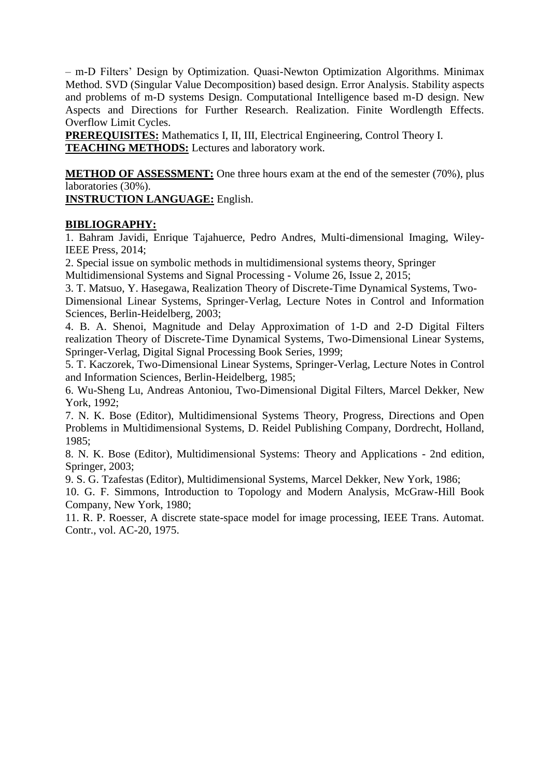– m-D Filters' Design by Optimization. Quasi-Newton Optimization Algorithms. Minimax Method. SVD (Singular Value Decomposition) based design. Error Analysis. Stability aspects and problems of m-D systems Design. Computational Intelligence based m-D design. New Aspects and Directions for Further Research. Realization. Finite Wordlength Effects. Overflow Limit Cycles.

**PREREQUISITES:** Mathematics I, II, III, Electrical Engineering, Control Theory I. **TEACHING METHODS:** Lectures and laboratory work.

**METHOD OF ASSESSMENT:** One three hours exam at the end of the semester (70%), plus laboratories (30%).

**INSTRUCTION LANGUAGE:** English.

### **BIBLIOGRAPHY:**

1. Bahram Javidi, Enrique Tajahuerce, Pedro Andres, Multi-dimensional Imaging, Wiley-IEEE Press, 2014;

2. Special issue on symbolic methods in multidimensional systems theory, Springer

Multidimensional Systems and Signal Processing - Volume 26, Issue 2, 2015;

3. T. Matsuo, Y. Hasegawa, Realization Theory of Discrete-Time Dynamical Systems, Two-Dimensional Linear Systems, Springer-Verlag, Lecture Notes in Control and Information

Sciences, Berlin-Heidelberg, 2003;

4. B. A. Shenoi, Magnitude and Delay Approximation of 1-D and 2-D Digital Filters realization Theory of Discrete-Time Dynamical Systems, Two-Dimensional Linear Systems, Springer-Verlag, Digital Signal Processing Book Series, 1999;

5. T. Kaczorek, Two-Dimensional Linear Systems, Springer-Verlag, Lecture Notes in Control and Information Sciences, Berlin-Heidelberg, 1985;

6. Wu-Sheng Lu, Andreas Antoniou, Two-Dimensional Digital Filters, Marcel Dekker, New York, 1992;

7. N. K. Bose (Editor), Multidimensional Systems Theory, Progress, Directions and Open Problems in Multidimensional Systems, D. Reidel Publishing Company, Dordrecht, Holland, 1985;

8. N. K. Bose (Editor), Multidimensional Systems: Theory and Applications - 2nd edition, Springer, 2003;

9. S. G. Tzafestas (Editor), Multidimensional Systems, Marcel Dekker, New York, 1986;

10. G. F. Simmons, Introduction to Topology and Modern Analysis, McGraw-Hill Book Company, New York, 1980;

11. R. P. Roesser, A discrete state-space model for image processing, IEEE Trans. Automat. Contr., vol. AC-20, 1975.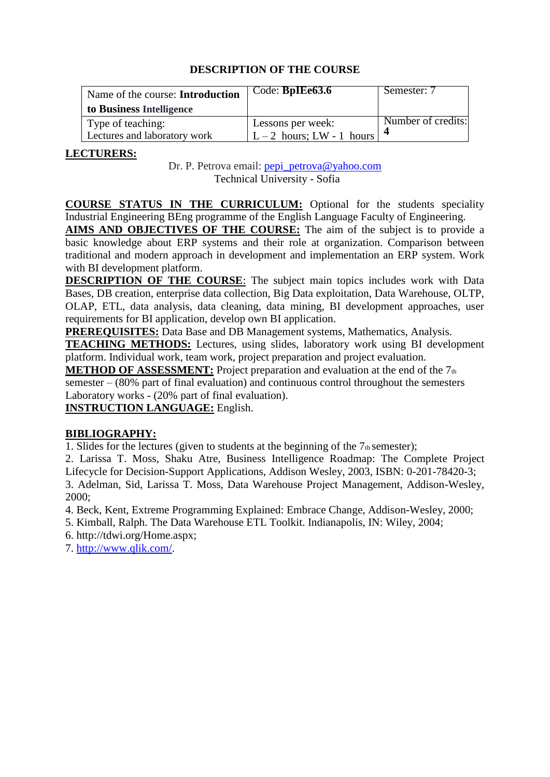| Name of the course: Introduction<br>to Business Intelligence | Code: BpIEe63.6                                | Semester: 7        |
|--------------------------------------------------------------|------------------------------------------------|--------------------|
| Type of teaching:<br>Lectures and laboratory work            | Lessons per week:<br>$L-2$ hours; LW - 1 hours | Number of credits: |

# **LECTURERS:**

Dr. P. Petrova email: [pepi\\_petrova@yahoo.com](mailto:pepi_petrova@yahoo.com) Technical University - Sofia

**COURSE STATUS IN THE CURRICULUM:** Optional for the students speciality Industrial Engineering BEng programme of the English Language Faculty of Engineering.

**AIMS AND OBJECTIVES OF THE COURSE:** The aim of the subject is to provide a basic knowledge about ERP systems and their role at organization. Comparison between traditional and modern approach in development and implementation an ERP system. Work with BI development platform.

**DESCRIPTION OF THE COURSE:** The subject main topics includes work with Data Bases, DB creation, enterprise data collection, Big Data exploitation, Data Warehouse, OLTP, OLAP, ETL, data analysis, data cleaning, data mining, BI development approaches, user requirements for BI application, develop own BI application.

**PREREQUISITES:** Data Base and DB Management systems, Mathematics, Analysis.

**TEACHING METHODS:** Lectures, using slides, laboratory work using BI development platform. Individual work, team work, project preparation and project evaluation.

**METHOD OF ASSESSMENT:** Project preparation and evaluation at the end of the 7th semester – (80% part of final evaluation) and continuous control throughout the semesters Laboratory works - (20% part of final evaluation).

**INSTRUCTION LANGUAGE:** English.

# **BIBLIOGRAPHY:**

1. Slides for the lectures (given to students at the beginning of the  $7<sub>th</sub>$  semester);

2. Larissa T. Moss, Shaku Atre, Business Intelligence Roadmap: The Complete Project Lifecycle for Decision-Support Applications, Addison Wesley, 2003, ISBN: 0-201-78420-3; 3. Adelman, Sid, Larissa T. Moss, Data Warehouse Project Management, Addison-Wesley, 2000;

4. Beck, Kent, Extreme Programming Explained: Embrace Change, Addison-Wesley, 2000;

5. Kimball, Ralph. The Data Warehouse ETL Toolkit. Indianapolis, IN: Wiley, 2004;

6. http://tdwi.org/Home.aspx;

7. [http://www.qlik.com/.](http://www.qlik.com/)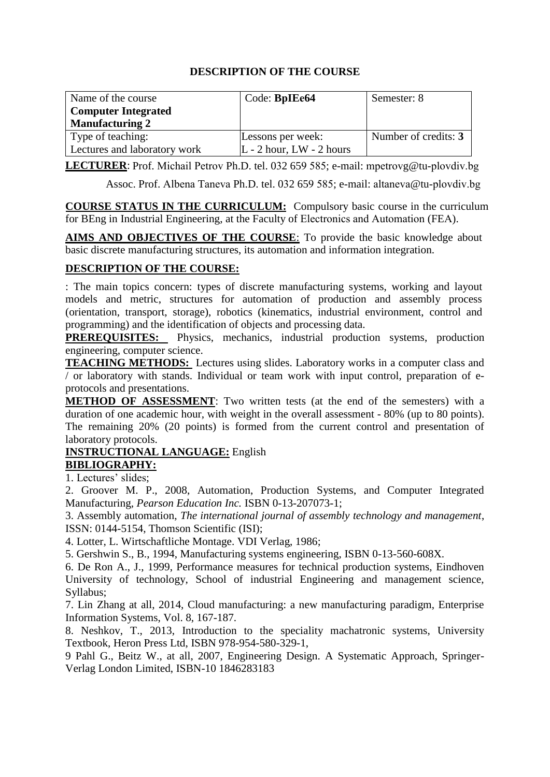| Name of the course           | Code: <b>BpIEe64</b>         | Semester: 8          |
|------------------------------|------------------------------|----------------------|
| <b>Computer Integrated</b>   |                              |                      |
| <b>Manufacturing 2</b>       |                              |                      |
| Type of teaching:            | Lessons per week:            | Number of credits: 3 |
| Lectures and laboratory work | $L - 2$ hour, $LW - 2$ hours |                      |

**LECTURER**: Prof. Michail Petrov Ph.D. tel. 032 659 585; e-mail: mpetrovg@tu-plovdiv.bg

Assoc. Prof. Albena Taneva Ph.D. tel. 032 659 585; e-mail: [altaneva](mailto:d_dotsev@tu-sofia.bg)@tu-plovdiv.bg

**COURSE STATUS IN THE CURRICULUM:** Compulsory basic course in the curriculum for BEng in Industrial Engineering, at the Faculty of Electronics and Automation (FEA).

**AIMS AND OBJECTIVES OF THE COURSE**: To provide the basic knowledge about basic discrete manufacturing structures, its automation and information integration.

# **DESCRIPTION OF THE COURSE:**

: The main topics concern: types of discrete manufacturing systems, working and layout models and metric, structures for automation of production and assembly process (orientation, transport, storage), robotics (kinematics, industrial environment, control and programming) and the identification of objects and processing data.

**PREREQUISITES:** Physics, mechanics, industrial production systems, production engineering, computer science.

**TEACHING METHODS:** Lectures using slides. Laboratory works in a computer class and / or laboratory with stands. Individual or team work with input control, preparation of eprotocols and presentations.

**METHOD OF ASSESSMENT**: Two written tests (at the end of the semesters) with a duration of one academic hour, with weight in the overall assessment - 80% (up to 80 points). The remaining 20% (20 points) is formed from the current control and presentation of laboratory protocols.

# **INSTRUCTIONAL LANGUAGE:** English

**BIBLIOGRAPHY:**

1. Lectures' slides;

2. Groover M. P., 2008, Automation, Production Systems, and Computer Integrated Manufacturing, *Pearson Education Inc.* ISBN 0-13-207073-1;

3. Assembly automation, *The international journal of assembly technology and management*, ISSN: 0144-5154, Thomson Scientific (ISI);

4. Lotter, L. Wirtschaftliche Montage. VDI Verlag, 1986;

5. Gershwin S., B., 1994, Manufacturing systems engineering, ISBN 0-13-560-608X.

6. De Ron A., J., 1999, Performance measures for technical production systems, Eindhoven University of technology, School of industrial Engineering and management science, Syllabus;

7. Lin Zhang at all, 2014, Cloud manufacturing: a new manufacturing paradigm, Enterprise Information Systems, Vol. 8, 167-187.

8. Neshkov, T., 2013, Introduction to the speciality machatronic systems, University Textbook, Heron Press Ltd, ISBN 978-954-580-329-1,

9 Pahl G., Beitz W., at all, 2007, Engineering Design. A Systematic Approach, Springer-Verlag London Limited, ISBN-10 1846283183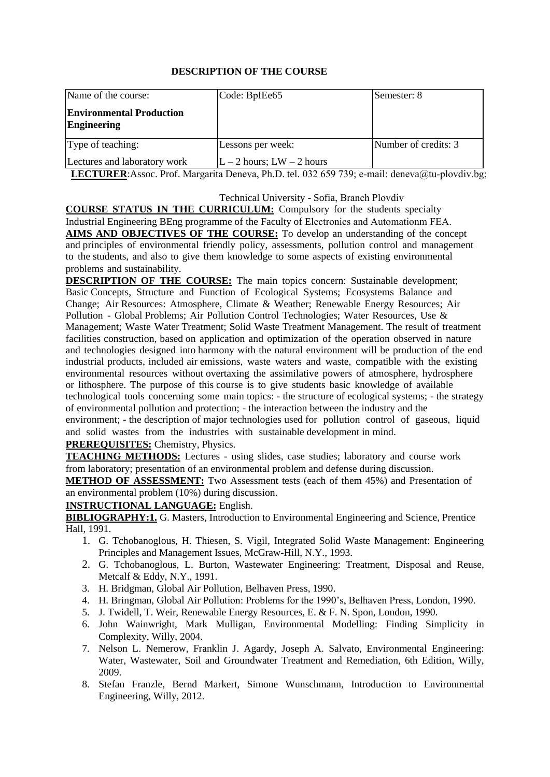| Name of the course:                                   | Code: BpIEe65             | Semester: 8          |
|-------------------------------------------------------|---------------------------|----------------------|
| <b>Environmental Production</b><br><b>Engineering</b> |                           |                      |
| Type of teaching:                                     | Lessons per week:         | Number of credits: 3 |
| Lectures and laboratory work                          | $L-2$ hours; $LW-2$ hours |                      |

LECTURER: Assoc. Prof. Margarita Deneva, Ph.D. tel. 032 6[59 739; e-ma](mailto:a_dimitrova@tu-sofia.bg)[il: deneva@tu-plo](mailto:vvk@tu-sofia.bg)vdiv.bg;

#### Technical University - Sofia, Branch Plovdiv

**COURSE STATUS IN THE CURRICULUM:** Compulsory for the students specialty Industrial Engineering BEng programme of the Faculty of Electronics and Automationm FEA. **AIMS AND OBJECTIVES OF THE COURSE:** To develop an understanding of the concept and principles of environmental friendly policy, assessments, pollution control and management to the students, and also to give them knowledge to some aspects of existing environmental problems and sustainability.

**DESCRIPTION OF THE COURSE:** The main topics concern: Sustainable development; Basic Concepts, Structure and Function of Ecological Systems; Ecosystems Balance and Change; Air Resources: Atmosphere, Climate & Weather; Renewable Energy Resources; Air Pollution - Global Problems; Air Pollution Control Technologies; Water Resources, Use & Management; Waste Water Treatment; Solid Waste Treatment Management. The result of treatment facilities construction, based on application and optimization of the operation observed in nature and technologies designed into harmony with the natural environment will be production of the end industrial products, included air emissions, waste waters and waste, compatible with the existing environmental resources without overtaxing the assimilative powers of atmosphere, hydrosphere or lithosphere. The purpose of this course is to give students basic knowledge of available technological tools concerning some main topics: - the structure of ecological systems; - the strategy of environmental pollution and protection; - the interaction between the industry and the environment: - the description of major technologies used for pollution control of gaseous, liquid and solid wastes from the industries with sustainable development in mind.

#### **PREREQUISITES:** Chemistry, Physics.

**TEACHING METHODS:** Lectures - using slides, case studies; laboratory and course work from laboratory; presentation of an environmental problem and defense during discussion.

**METHOD OF ASSESSMENT:** Two Assessment tests (each of them 45%) and Presentation of an environmental problem (10%) during discussion.

#### **INSTRUCTIONAL LANGUAGE:** English.

**BIBLIOGRAPHY:1.** G. Masters, Introduction to Environmental Engineering and Science, Prentice Hall, 1991.

- 1. G. Tchobanoglous, H. Thiesen, S. Vigil, Integrated Solid Waste Management: Engineering Principles and Management Issues, McGraw-Hill, N.Y., 1993.
- 2. G. Tchobanoglous, L. Burton, Wastewater Engineering: Treatment, Disposal and Reuse, Metcalf & Eddy, N.Y., 1991.
- 3. H. Bridgman, Global Air Pollution, Belhaven Press, 1990.
- 4. H. Bringman, Global Air Pollution: Problems for the 1990's, Belhaven Press, London, 1990.
- 5. J. Twidell, T. Weir, Renewable Energy Resources, E. & F. N. Spon, London, 1990.
- 6. John Wainwright, Mark Mulligan, Environmental Modelling: Finding Simplicity in Complexity, Willy, 2004.
- 7. Nelson L. Nemerow, Franklin J. Agardy, Joseph A. Salvato, Environmental Engineering: Water, Wastewater, Soil and Groundwater Treatment and Remediation, 6th Edition, Willy, 2009.
- 8. Stefan Franzle, Bernd Markert, Simone Wunschmann, Introduction to Environmental Engineering, Willy, 2012.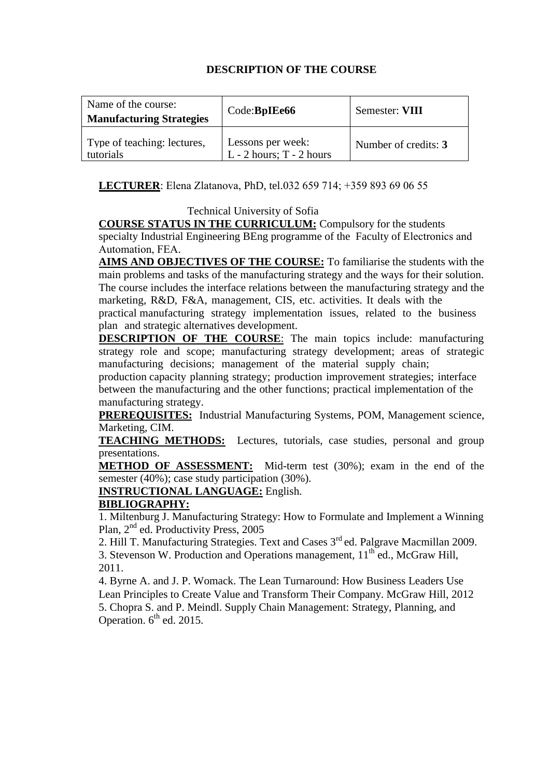| Name of the course:<br><b>Manufacturing Strategies</b> | Code:BpIEe66                                      | Semester: VIII       |
|--------------------------------------------------------|---------------------------------------------------|----------------------|
| Type of teaching: lectures,<br>tutorials               | Lessons per week:<br>$L - 2$ hours; $T - 2$ hours | Number of credits: 3 |

### **LECTURER**: Elena Zlatanova, PhD, tel.032 659 714; +359 893 69 06 55

### Technical University of Sofia

**COURSE STATUS IN THE CURRICULUM:** Compulsory for the students specialty Industrial Engineering BEng programme of the Faculty of Electronics and Automation, FEA.

**AIMS AND OBJECTIVES OF THE COURSE:** To familiarise the students with the main problems and tasks of the manufacturing strategy and the ways for their solution. The course includes the interface relations between the manufacturing strategy and the marketing, R&D, F&A, management, CIS, etc. activities. It deals with the practical manufacturing strategy implementation issues, related to the business plan and strategic alternatives development.

**DESCRIPTION OF THE COURSE**: The main topics include: manufacturing strategy role and scope; manufacturing strategy development; areas of strategic manufacturing decisions; management of the material supply chain;

production capacity planning strategy; production improvement strategies; interface between the manufacturing and the other functions; practical implementation of the manufacturing strategy.

**PREREQUISITES:** Industrial Manufacturing Systems, POM, Management science, Marketing, CIM.

**TEACHING METHODS:** Lectures, tutorials, case studies, personal and group presentations.

**METHOD OF ASSESSMENT:** Mid-term test (30%); exam in the end of the semester (40%); case study participation (30%).

**INSTRUCTIONAL LANGUAGE:** English.

# **BIBLIOGRAPHY:**

1. Miltenburg J. Manufacturing Strategy: How to Formulate and Implement a Winning Plan, 2<sup>nd</sup> ed. Productivity Press, 2005

2. Hill T. Manufacturing Strategies. Text and Cases 3<sup>rd</sup> ed. Palgrave Macmillan 2009. 3. Stevenson W. Production and Operations management,  $11^{th}$  ed., McGraw Hill, 2011.

4. Byrne A. and J. P. Womack. The Lean Turnaround: How Business Leaders Use Lean Principles to Create Value and Transform Their Company. McGraw Hill, 2012 5. Chopra S. and P. Meindl. Supply Chain Management: Strategy, Planning, and Operation.  $6<sup>th</sup>$  ed. 2015.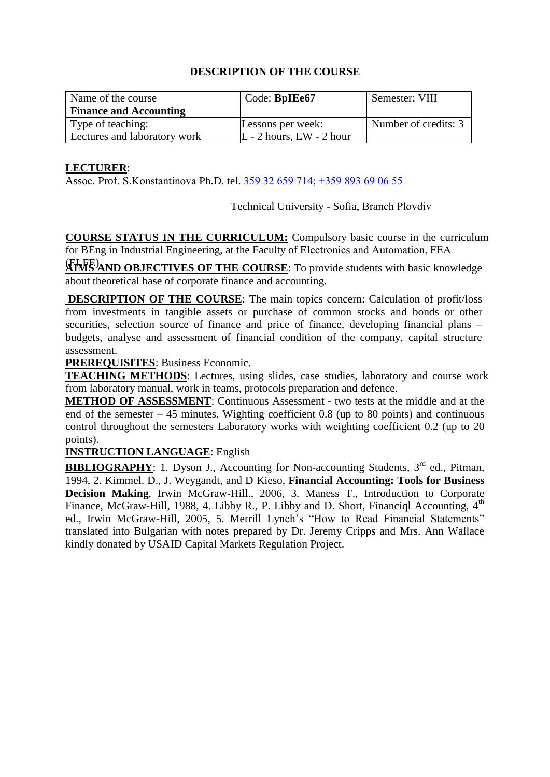| Name of the course            | Code: BpIEe67                | Semester: VIII       |
|-------------------------------|------------------------------|----------------------|
| <b>Finance and Accounting</b> |                              |                      |
| Type of teaching:             | Lessons per week:            | Number of credits: 3 |
| Lectures and laboratory work  | $L - 2$ hours, $LW - 2$ hour |                      |

### **LECTURER**:

Assoc. Prof. S.Konstantinova Ph.D. tel. 359 32 659 714; +[359 893 69 06 55](mailto:minadaskalova@tu-sofia.bg) 

Technical University - Sofia, Branch Plovdiv

**COURSE STATUS IN THE CURRICULUM:** Compulsory basic course in the curriculum for BEng in Industrial Engineering, at the Faculty of Electronics and Automation, FEA

(ELFE). **AIMS AND OBJECTIVES OF THE COURSE**: To provide students with basic knowledge about theoretical base of corporate finance and accounting.

**DESCRIPTION OF THE COURSE**: The main topics concern: Calculation of profit/loss from investments in tangible assets or purchase of common stocks and bonds or other securities, selection source of finance and price of finance, developing financial plans – budgets, analyse and assessment of financial condition of the company, capital structure assessment.

**PREREQUISITES**: Business Economic.

**TEACHING METHODS**: Lectures, using slides, case studies, laboratory and course work from laboratory manual, work in teams, protocols preparation and defence.

**METHOD OF ASSESSMENT**: Continuous Assessment - two tests at the middle and at the end of the semester – 45 minutes. Wighting coefficient 0.8 (up to 80 points) and continuous control throughout the semesters Laboratory works with weighting coefficient 0.2 (up to 20 points).

# **INSTRUCTION LANGUAGE**: English

**BIBLIOGRAPHY**: 1. Dyson J., Accounting for Non-accounting Students, 3<sup>rd</sup> ed., Pitman, 1994, 2. Kimmel. D., J. Weygandt, and D Kieso, **Financial [Accounting: Tools](http://www.amazon.com/Financial-Accounting-Business-Decision-Making/dp/0471730513/ref=pd_bbs_2/102-9763579-1507344?ie=UTF8&s=books&qid=1183896012&sr=1-2) for Business [Decision](http://www.amazon.com/Financial-Accounting-Business-Decision-Making/dp/0471730513/ref=pd_bbs_2/102-9763579-1507344?ie=UTF8&s=books&qid=1183896012&sr=1-2) Making**, Irwin McGraw-Hill., 2006, 3. Maness T., Introduction to Corporate Finance, McGraw-Hill, 1988, 4. Libby R., P. Libby and D. Short, Financiql Accounting,  $4<sup>th</sup>$ ed., Irwin McGraw-Hill, 2005, 5. Merrill Lynch's "How to Read Financial Statements" translated into Bulgarian with notes prepared by Dr. Jeremy Cripps and Mrs. Ann Wallace kindly donated by USAID Capital Markets Regulation Project.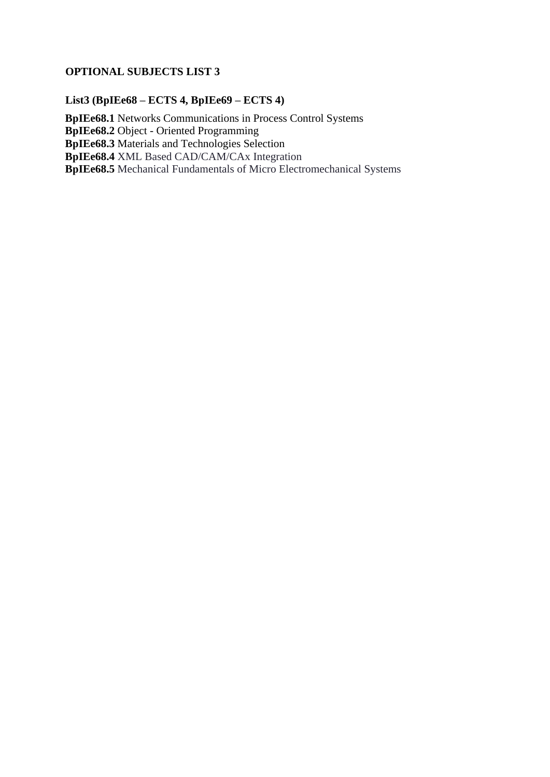# **OPTIONAL SUBJECTS LIST 3**

# **List3 (BpIEe68 – ECTS 4, BpIEe69 – ECTS 4)**

**BpIEe68.1** Networks Communications in Process Control Systems **BpIEe68.2** Object - Oriented Programming **BpIEe68.3** Materials and Technologies Selection **BpIEe68.4** XML Based CAD/CAM/CAx Integration **BpIEe68.5** Mechanical Fundamentals of Micro Electromechanical Systems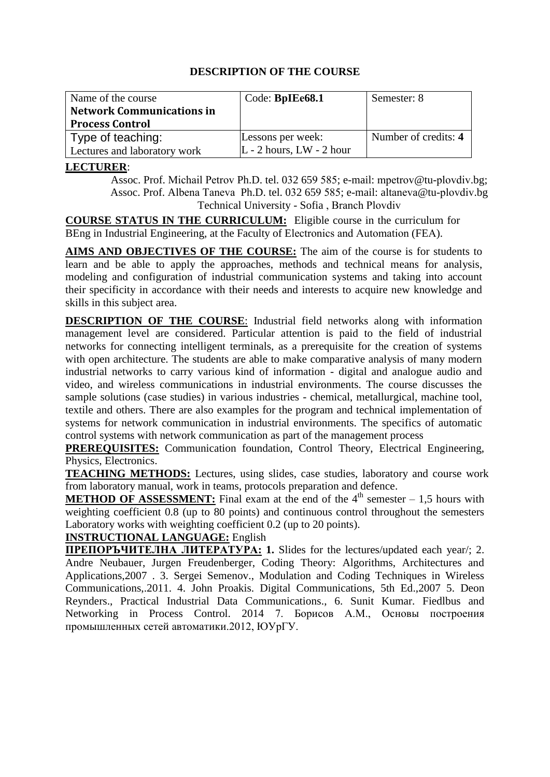| Name of the course               | Code: BpIEe68.1              | Semester: 8          |
|----------------------------------|------------------------------|----------------------|
| <b>Network Communications in</b> |                              |                      |
| <b>Process Control</b>           |                              |                      |
| Type of teaching:                | Lessons per week:            | Number of credits: 4 |
| Lectures and laboratory work     | $L - 2$ hours, $LW - 2$ hour |                      |

### **LECTURER**:

Assoc. Prof. Michail Petrov Ph.D. tel. 032 659 585; e-mail: mpetrov@tu-plovdiv.bg; Assoc. Prof. Albena Taneva Ph.D. tel. 032 659 585; e-mail: altaneva@tu-plovdiv.bg Technical University - Sofia , Branch Plovdiv

**COURSE STATUS IN THE CURRICULUM:** Eligible course in the curriculum for BEng in Industrial Engineering, at the Faculty of Electronics and Automation (FEA).

**AIMS AND OBJECTIVES OF THE COURSE:** The aim of the course is for students to learn and be able to apply the approaches, methods and technical means for analysis, modeling and configuration of industrial communication systems and taking into account their specificity in accordance with their needs and interests to acquire new knowledge and skills in this subject area.

**DESCRIPTION OF THE COURSE**: Industrial field networks along with information management level are considered. Particular attention is paid to the field of industrial networks for connecting intelligent terminals, as a prerequisite for the creation of systems with open architecture. The students are able to make comparative analysis of many modern industrial networks to carry various kind of information - digital and analogue audio and video, and wireless communications in industrial environments. The course discusses the sample solutions (case studies) in various industries - chemical, metallurgical, machine tool, textile and others. There are also examples for the program and technical implementation of systems for network communication in industrial environments. The specifics of automatic control systems with network communication as part of the management process

**PREREQUISITES:** Communication foundation, Control Theory, Electrical Engineering, Physics, Electronics.

**TEACHING METHODS:** Lectures, using slides, case studies, laboratory and course work from laboratory manual, work in teams, protocols preparation and defence.

**METHOD OF ASSESSMENT:** Final exam at the end of the 4<sup>th</sup> semester – 1,5 hours with weighting coefficient 0.8 (up to 80 points) and continuous control throughout the semesters Laboratory works with weighting coefficient 0.2 (up to 20 points).

# **INSTRUCTIONAL LANGUAGE:** English

**ПРЕПОРЪЧИТЕЛНА ЛИТЕРАТУРА: 1.** Slides for the lectures/updated each year/; 2. Andre Neubauer, Jurgen Freudenberger, Coding Theory: Algorithms, Architectures and Applications,2007 . 3. Sergei Semenov., Modulation and Coding Techniques in Wireless Communications,.2011. 4. John Proakis. Digital Communications, 5th Ed.,2007 5. Deon Reynders., Practical Industrial Data Communications., 6. Sunit Kumar. Fiedlbus and Networking in Process Control. 2014 7. Борисов А.М., Основы построения промышленных сетей автоматики.2012, ЮУрГУ.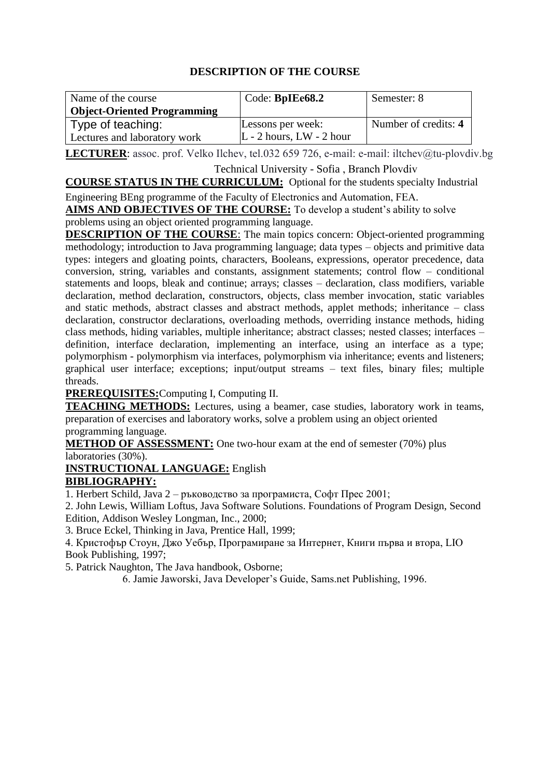| Name of the course<br><b>Object-Oriented Programming</b> | Code: BpIEe68.2            | Semester: 8          |
|----------------------------------------------------------|----------------------------|----------------------|
| Type of teaching:                                        | Lessons per week:          | Number of credits: 4 |
| Lectures and laboratory work                             | $L - 2$ hours, LW - 2 hour |                      |

LECTURER: assoc. prof. Velko Ilchev, tel.032 659 726, e-mail: e-mail: iltchev@tu-plovdiv.bg

Technical University - Sofia , Branch Plovdiv

**COURSE STATUS IN THE CURRICULUM:** Optional for the students specialty Industrial Engineering BEng programme of the Faculty of Electronics and Automation, FEA.

**AIMS AND OBJECTIVES OF THE COURSE:** To develop a student's ability to solve problems using an object oriented programming language.

**DESCRIPTION OF THE COURSE:** The main topics concern: Object-oriented programming methodology; introduction to Java programming language; data types – objects and primitive data types: integers and gloating points, characters, Booleans, expressions, operator precedence, data conversion, string, variables and constants, assignment statements; control flow – conditional statements and loops, bleak and continue; arrays; classes – declaration, class modifiers, variable declaration, method declaration, constructors, objects, class member invocation, static variables and static methods, abstract classes and abstract methods, applet methods; inheritance – class declaration, constructor declarations, overloading methods, overriding instance methods, hiding class methods, hiding variables, multiple inheritance; abstract classes; nested classes; interfaces – definition, interface declaration, implementing an interface, using an interface as a type; polymorphism - polymorphism via interfaces, polymorphism via inheritance; events and listeners; graphical user interface; exceptions; input/output streams – text files, binary files; multiple threads.

**PREREQUISITES:**Computing I, Computing II.

**TEACHING METHODS:** Lectures, using a beamer, case studies, laboratory work in teams, preparation of exercises and laboratory works, solve a problem using an object oriented programming language.

**METHOD OF ASSESSMENT:** One two-hour exam at the end of semester (70%) plus laboratories (30%).

**INSTRUCTIONAL LANGUAGE:** English

# **BIBLIOGRAPHY:**

1. Herbert Schild, Java 2 – ръководство за програмиста, Софт Прес 2001;

2. John Lewis, William Loftus, Java Software Solutions. Foundations of Program Design, Second Edition, Addison Wesley Longman, Inc., 2000;

3. Bruce Eckel, Thinking in Java, Prentice Hall, 1999;

4. Кристофър Стоун, Джо Уебър, Програмиране за Интернет, Книги първа и втора, LIO Book Publishing, 1997;

5. Patrick Naughton, The Java handbook, Osborne;

6. Jamie Jaworski, Java Developer's Guide, Sams.net Publishing, 1996.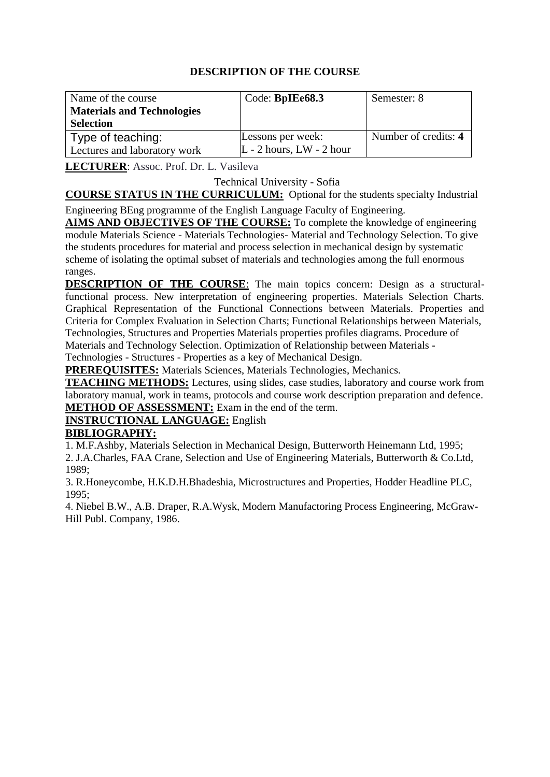| Name of the course<br><b>Materials and Technologies</b><br><b>Selection</b> | Code: BpIEe68.3                                 | Semester: 8          |
|-----------------------------------------------------------------------------|-------------------------------------------------|----------------------|
| Type of teaching:<br>Lectures and laboratory work                           | Lessons per week:<br>$L - 2$ hours, LW - 2 hour | Number of credits: 4 |

**LECTURER**: Assoc. Prof. Dr. L. Vasileva

Technical University - Sofia

**COURSE STATUS IN THE CURRICULUM:** Optional for the students specialty Industrial Engineering BEng programme of the English Language Faculty of Engineering.

**AIMS AND OBJECTIVES OF THE COURSE:** To complete the knowledge of engineering module Materials Science - Materials Technologies- Material and Technology Selection. To give the students procedures for material and process selection in mechanical design by systematic scheme of isolating the optimal subset of materials and technologies among the full enormous ranges.

**DESCRIPTION OF THE COURSE:** The main topics concern: Design as a structuralfunctional process. New interpretation of engineering properties. Materials Selection Charts. Graphical Representation of the Functional Connections between Materials. Properties and Criteria for Complex Evaluation in Selection Charts; Functional Relationships between Materials, Technologies, Structures and Properties Materials properties profiles diagrams. Procedure of Materials and Technology Selection. Optimization of Relationship between Materials - Technologies - Structures - Properties as a key of Mechanical Design.

**PREREQUISITES:** Materials Sciences, Materials Technologies, Mechanics.

**TEACHING METHODS:** Lectures, using slides, case studies, laboratory and course work from laboratory manual, work in teams, protocols and course work description preparation and defence. **METHOD OF ASSESSMENT:** Exam in the end of the term.

# **INSTRUCTIONAL LANGUAGE:** English

# **BIBLIOGRAPHY:**

1. M.F.Ashby, Materials Selection in Mechanical Design, Butterworth Heinemann Ltd, 1995;

2. J.A.Charles, FAA Crane, Selection and Use of Engineering Materials, Butterworth & Co.Ltd, 1989;

3. R.Honeycombe, H.K.D.H.Bhadeshia, Microstructures and Properties, Hodder Headline PLC, 1995;

4. Niebel B.W., A.B. Draper, R.A.Wysk, Modern Manufactoring Process Engineering, McGraw-Hill Publ. Company, 1986.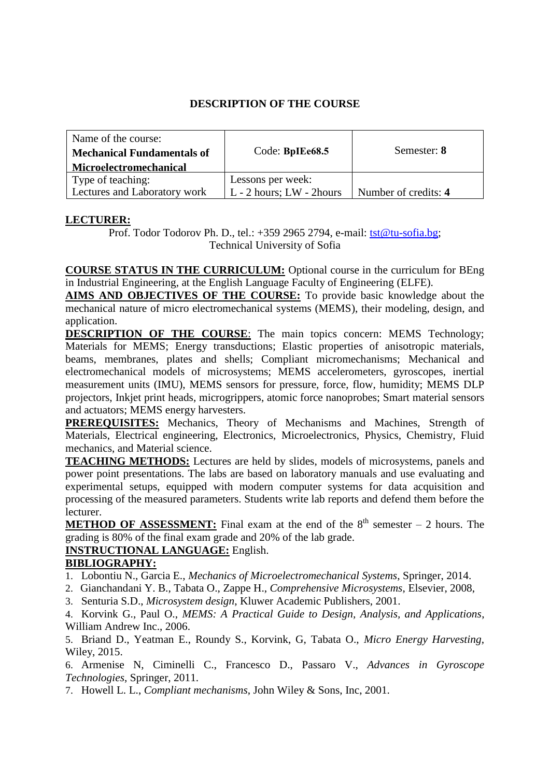| Name of the course:               |                               |                      |
|-----------------------------------|-------------------------------|----------------------|
| <b>Mechanical Fundamentals of</b> | Code: BpIEe68.5               | Semester: 8          |
| <b>Microelectromechanical</b>     |                               |                      |
| Type of teaching:                 | Lessons per week:             |                      |
| Lectures and Laboratory work      | $L - 2$ hours; $LW - 2$ hours | Number of credits: 4 |

# **LECTURER:**

Prof. Todor Todorov Ph. D., tel.: +359 2965 2794, e-mail: [tst@tu-sofia.bg;](mailto:tst@tu-sofia.bg) Technical University of Sofia

**COURSE STATUS IN THE CURRICULUM:** Optional course in the curriculum for BEng in Industrial Engineering, at the English Language Faculty of Engineering (ELFE).

**AIMS AND OBJECTIVES OF THE COURSE:** To provide basic knowledge about the mechanical nature of micro electromechanical systems (MEMS), their modeling, design, and application.

**DESCRIPTION OF THE COURSE**: The main topics concern: MEMS Technology; Materials for MEMS; Energy transductions; Elastic properties of anisotropic materials, beams, membranes, plates and shells; Compliant micromechanisms; Mechanical and electromechanical models of microsystems; MEMS accelerometers, gyroscopes, inertial measurement units (IMU), MEMS sensors for pressure, force, flow, humidity; MEMS DLP projectors, Inkjet print heads, microgrippers, atomic force nanoprobes; Smart material sensors and actuators; MEMS energy harvesters.

**PREREQUISITES:** Mechanics, Theory of Mechanisms and Machines, Strength of Materials, Electrical engineering, Electronics, Microelectronics, Physics, Chemistry, Fluid mechanics, and Material science.

**TEACHING METHODS:** Lectures are held by slides, models of microsystems, panels and power point presentations. The labs are based on laboratory manuals and use evaluating and experimental setups, equipped with modern computer systems for data acquisition and processing of the measured parameters. Students write lab reports and defend them before the lecturer.

**METHOD OF ASSESSMENT:** Final exam at the end of the 8<sup>th</sup> semester – 2 hours. The grading is 80% of the final exam grade and 20% of the lab grade.

# **INSTRUCTIONAL LANGUAGE:** English.

# **BIBLIOGRAPHY:**

1. Lobontiu N., Garcia E., *Mechanics of Microelectromechanical Systems*, Springer, 2014.

- 2. Gianchandani Y. B., Tabata O., Zappe H., *Comprehensive Microsystems*, Elsevier, 2008,
- 3. Senturia S.D., *Microsystem design*, Kluwer Academic Publishers, 2001.

4. Korvink G., Paul O., *MEMS: A Practical Guide to Design, Analysis, and Applications*, William Andrew Inc., 2006.

5. Briand D., Yeatman E., Roundy S., Korvink, G, Tabata O., *[Micro Energy Harvesting](http://eu.wiley.com/WileyCDA/WileyTitle/productCd-3527319026.html)*, Wiley, 2015.

6. Armenise N, Ciminelli C., Francesco D., Passaro V., *Advances in Gyroscope Technologies*, Springer, 2011.

7. Howell L. L., *Compliant mechanisms*, John Wiley & Sons, Inc, 2001.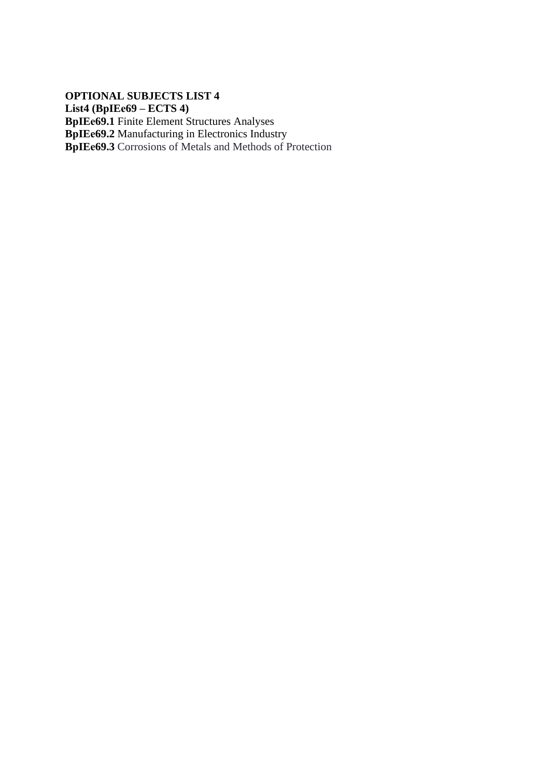**OPTIONAL SUBJECTS LIST 4 List4 (BpIEе69 – ECTS 4) BpIEе69.1** Finite Element Structures Analyses **BpIEе69.2** Manufacturing in Electronics Industry **BpIEе69.3** Corrosions of Metals and Methods of Protection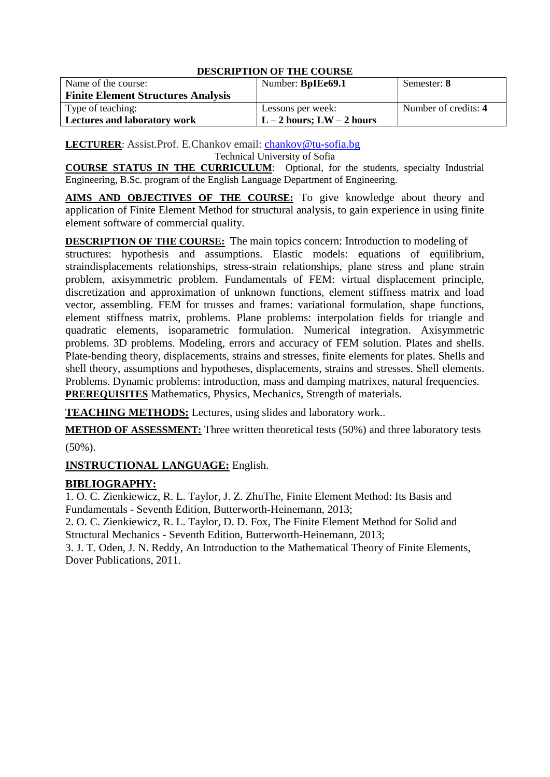| Name of the course:                       | Number: BpIEe69.1         | Semester: 8          |
|-------------------------------------------|---------------------------|----------------------|
| <b>Finite Element Structures Analysis</b> |                           |                      |
| Type of teaching:                         | Lessons per week:         | Number of credits: 4 |
| <b>Lectures and laboratory work</b>       | $L-2$ hours; $LW-2$ hours |                      |

**LECTURER**: Assist.Prof. E.Chankov email: [chankov@tu-sofia.bg](mailto:chankov@tu-sofia.bg) Technical University of Sofia

**COURSE STATUS IN THE CURRICULUM**: Optional, for the students, specialty Industrial Engineering, B.Sc. program of the English Language Department of Engineering.

**AIMS AND OBJECTIVES OF THE COURSE:** To give knowledge about theory and application of Finite Element Method for structural analysis, to gain experience in using finite element software of commercial quality.

**DESCRIPTION OF THE COURSE:** The main topics concern: Introduction to modeling of structures: hypothesis and assumptions. Elastic models: equations of equilibrium, straindisplacements relationships, stress-strain relationships, plane stress and plane strain problem, axisymmetric problem. Fundamentals of FEM: virtual displacement principle, discretization and approximation of unknown functions, element stiffness matrix and load vector, assembling. FEM for trusses and frames: variational formulation, shape functions, element stiffness matrix, problems. Plane problems: interpolation fields for triangle and quadratic elements, isoparametric formulation. Numerical integration. Axisymmetric problems. 3D problems. Modeling, errors and accuracy of FEM solution. Plates and shells. Plate-bending theory, displacements, strains and stresses, finite elements for plates. Shells and shell theory, assumptions and hypotheses, displacements, strains and stresses. Shell elements. Problems. Dynamic problems: introduction, mass and damping matrixes, natural frequencies. **PREREQUISITES** Mathematics, Physics, Mechanics, Strength of materials.

**TEACHING METHODS:** Lectures, using slides and laboratory work..

**METHOD OF ASSESSMENT:** Three written theoretical tests (50%) and three laboratory tests

(50%).

**INSTRUCTIONAL LANGUAGE:** English.

# **BIBLIOGRAPHY:**

1. O. C. Zienkiewicz, R. L. Taylor, J. Z. ZhuThe, Finite Element Method: Its Basis and Fundamentals - Seventh Edition, Butterworth-Heinemann, 2013;

2. O. C. Zienkiewicz, R. L. Taylor, D. D. Fox, The Finite Element Method for Solid and Structural Mechanics - Seventh Edition, Butterworth-Heinemann, 2013;

3. J. T. Oden, J. N. Reddy, An Introduction to the Mathematical Theory of Finite Elements, Dover Publications, 2011.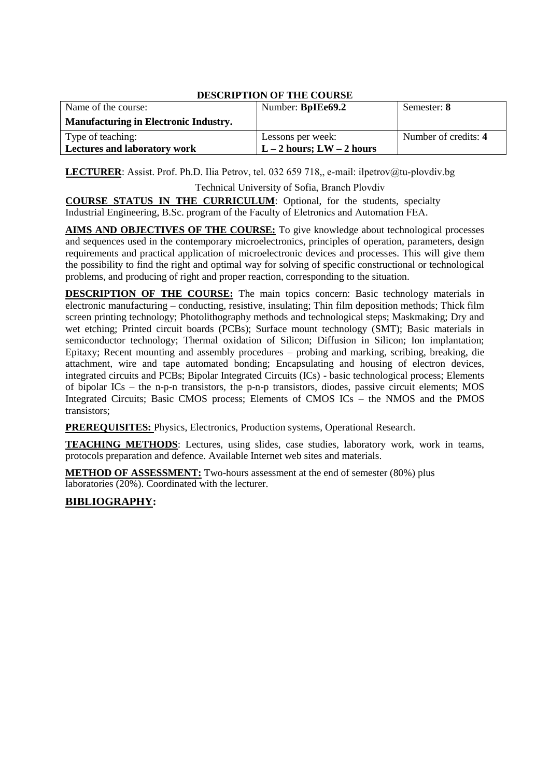| Name of the course:                          | Number: BpIEe69.2          | Semester: 8          |
|----------------------------------------------|----------------------------|----------------------|
| <b>Manufacturing in Electronic Industry.</b> |                            |                      |
| Type of teaching:                            | Lessons per week:          | Number of credits: 4 |
| <b>Lectures and laboratory work</b>          | $L-2$ hours; LW $-2$ hours |                      |

**LECTURER**: Assist. Prof. Ph.D. Ilia Petrov, tel. 032 659 718,, e-mail[: ilpetrov@tu-plov](mailto:khd@tu-sofia.bg)div.bg

Technical University of Sofia, Branch Plovdiv

**COURSE STATUS IN THE CURRICULUM**: Optional, for the students, specialty Industrial Engineering, B.Sc. program of the Faculty of Eletronics and Automation FEA.

**AIMS AND OBJECTIVES OF THE COURSE:** To give knowledge about technological processes and sequences used in the contemporary microelectronics, principles of operation, parameters, design requirements and practical application of microelectronic devices and processes. This will give them the possibility to find the right and optimal way for solving of specific constructional or technological problems, and producing of right and proper reaction, corresponding to the situation.

**DESCRIPTION OF THE COURSE:** The main topics concern: Basic technology materials in electronic manufacturing – conducting, resistive, insulating; Thin film deposition methods; Thick film screen printing technology; Photolithography methods and technological steps; Maskmaking; Dry and wet etching; Printed circuit boards (PCBs); Surface mount technology (SMT); Basic materials in semiconductor technology; Thermal oxidation of Silicon; Diffusion in Silicon; Ion implantation; Epitaxy; Recent mounting and assembly procedures – probing and marking, scribing, breaking, die attachment, wire and tape automated bonding; Encapsulating and housing of electron devices, integrated circuits and PCBs; Bipolar Integrated Circuits (ICs) - basic technological process; Elements of bipolar ICs – the n-p-n transistors, the p-n-p transistors, diodes, passive circuit elements; MOS Integrated Circuits: Basic CMOS process; Elements of CMOS ICs – the NMOS and the PMOS transistors;

**PREREQUISITES:** Physics, Electronics, Production systems, Operational Research.

**TEACHING METHODS**: Lectures, using slides, case studies, laboratory work, work in teams, protocols preparation and defence. Available Internet web sites and materials.

**METHOD OF ASSESSMENT:** Two-hours assessment at the end of semester (80%) plus laboratories (20%). Coordinated with the lecturer.

# **BIBLIOGRAPHY:**